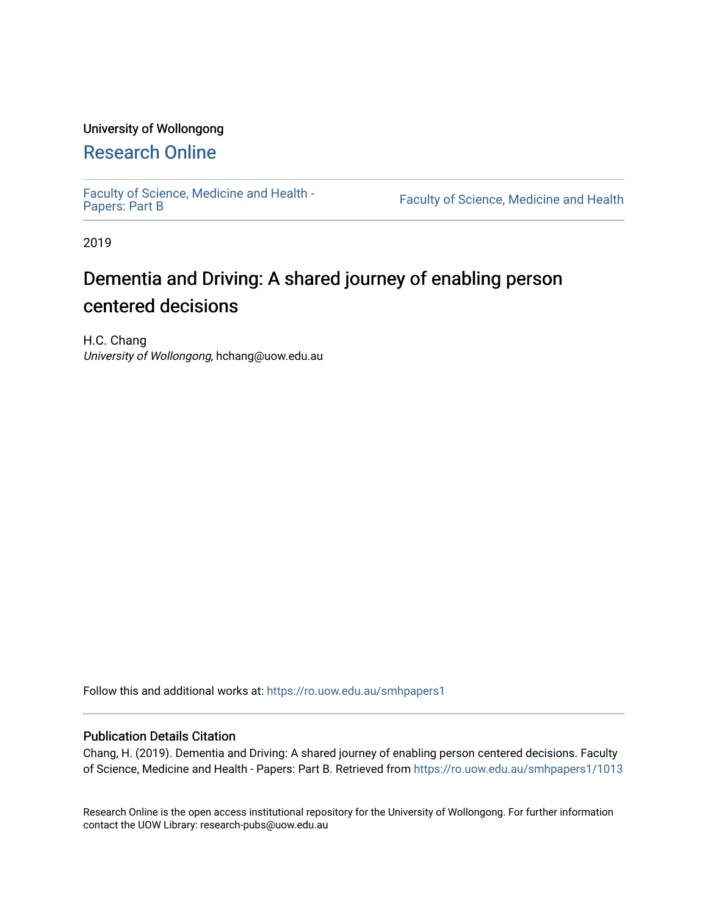#### University of Wollongong

## [Research Online](https://ro.uow.edu.au/)

[Faculty of Science, Medicine and Health -](https://ro.uow.edu.au/smhpapers1) Papers: Part B

Faculty of Science, Medicine and Health

2019

# Dementia and Driving: A shared journey of enabling person centered decisions

H.C. Chang University of Wollongong, hchang@uow.edu.au

Follow this and additional works at: [https://ro.uow.edu.au/smhpapers1](https://ro.uow.edu.au/smhpapers1?utm_source=ro.uow.edu.au%2Fsmhpapers1%2F1013&utm_medium=PDF&utm_campaign=PDFCoverPages)

#### Publication Details Citation

Chang, H. (2019). Dementia and Driving: A shared journey of enabling person centered decisions. Faculty of Science, Medicine and Health - Papers: Part B. Retrieved from [https://ro.uow.edu.au/smhpapers1/1013](https://ro.uow.edu.au/smhpapers1/1013?utm_source=ro.uow.edu.au%2Fsmhpapers1%2F1013&utm_medium=PDF&utm_campaign=PDFCoverPages) 

Research Online is the open access institutional repository for the University of Wollongong. For further information contact the UOW Library: research-pubs@uow.edu.au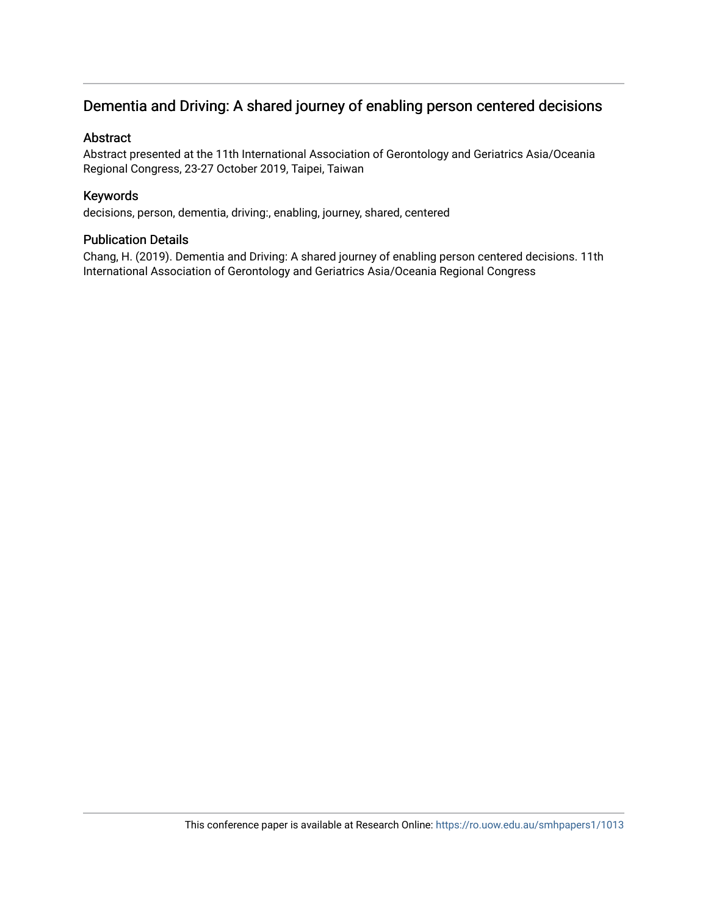### Dementia and Driving: A shared journey of enabling person centered decisions

#### Abstract

Abstract presented at the 11th International Association of Gerontology and Geriatrics Asia/Oceania Regional Congress, 23-27 October 2019, Taipei, Taiwan

#### Keywords

decisions, person, dementia, driving:, enabling, journey, shared, centered

#### Publication Details

Chang, H. (2019). Dementia and Driving: A shared journey of enabling person centered decisions. 11th International Association of Gerontology and Geriatrics Asia/Oceania Regional Congress